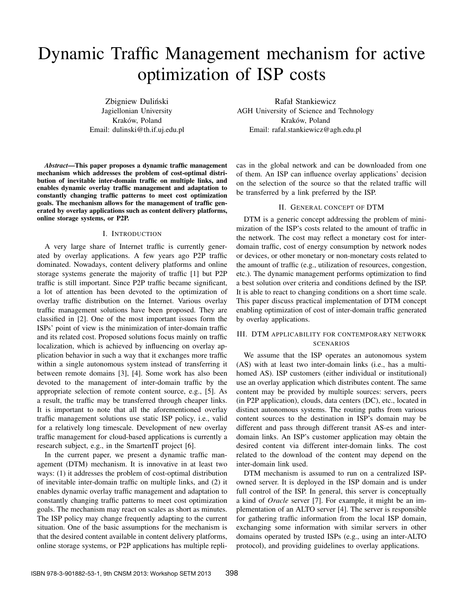# Dynamic Traffic Management mechanism for active optimization of ISP costs

Zbigniew Duliński Jagiellonian University Kraków, Poland Email: dulinski@th.if.uj.edu.pl

*Abstract*—This paper proposes a dynamic traffic management mechanism which addresses the problem of cost-optimal distribution of inevitable inter-domain traffic on multiple links, and enables dynamic overlay traffic management and adaptation to constantly changing traffic patterns to meet cost optimization goals. The mechanism allows for the management of traffic generated by overlay applications such as content delivery platforms, online storage systems, or P2P.

## I. INTRODUCTION

A very large share of Internet traffic is currently generated by overlay applications. A few years ago P2P traffic dominated. Nowadays, content delivery platforms and online storage systems generate the majority of traffic [1] but P2P traffic is still important. Since P2P traffic became significant, a lot of attention has been devoted to the optimization of overlay traffic distribution on the Internet. Various overlay traffic management solutions have been proposed. They are classified in [2]. One of the most important issues form the ISPs' point of view is the minimization of inter-domain traffic and its related cost. Proposed solutions focus mainly on traffic localization, which is achieved by influencing on overlay application behavior in such a way that it exchanges more traffic within a single autonomous system instead of transferring it between remote domains [3], [4]. Some work has also been devoted to the management of inter-domain traffic by the appropriate selection of remote content source, e.g., [5]. As a result, the traffic may be transferred through cheaper links. It is important to note that all the aforementioned overlay traffic management solutions use static ISP policy, i.e., valid for a relatively long timescale. Development of new overlay traffic management for cloud-based applications is currently a research subject, e.g., in the SmartenIT project [6].

In the current paper, we present a dynamic traffic management (DTM) mechanism. It is innovative in at least two ways: (1) it addresses the problem of cost-optimal distribution of inevitable inter-domain traffic on multiple links, and (2) it enables dynamic overlay traffic management and adaptation to constantly changing traffic patterns to meet cost optimization goals. The mechanism may react on scales as short as minutes. The ISP policy may change frequently adapting to the current situation. One of the basic assumptions for the mechanism is that the desired content available in content delivery platforms, online storage systems, or P2P applications has multiple repli-

Rafał Stankiewicz AGH University of Science and Technology Kraków, Poland Email: rafal.stankiewicz@agh.edu.pl

cas in the global network and can be downloaded from one of them. An ISP can influence overlay applications' decision on the selection of the source so that the related traffic will be transferred by a link preferred by the ISP.

## II. GENERAL CONCEPT OF DTM

DTM is a generic concept addressing the problem of minimization of the ISP's costs related to the amount of traffic in the network. The cost may reflect a monetary cost for interdomain traffic, cost of energy consumption by network nodes or devices, or other monetary or non-monetary costs related to the amount of traffic (e.g., utilization of resources, congestion, etc.). The dynamic management performs optimization to find a best solution over criteria and conditions defined by the ISP. It is able to react to changing conditions on a short time scale. This paper discuss practical implementation of DTM concept enabling optimization of cost of inter-domain traffic generated by overlay applications.

# III. DTM APPLICABILITY FOR CONTEMPORARY NETWORK SCENARIOS

We assume that the ISP operates an autonomous system (AS) with at least two inter-domain links (i.e., has a multihomed AS). ISP customers (either individual or institutional) use an overlay application which distributes content. The same content may be provided by multiple sources: servers, peers (in P2P application), clouds, data centers (DC), etc., located in distinct autonomous systems. The routing paths from various content sources to the destination in ISP's domain may be different and pass through different transit AS-es and interdomain links. An ISP's customer application may obtain the desired content via different inter-domain links. The cost related to the download of the content may depend on the inter-domain link used.

DTM mechanism is assumed to run on a centralized ISPowned server. It is deployed in the ISP domain and is under full control of the ISP. In general, this server is conceptually a kind of *Oracle* server [7]. For example, it might be an implementation of an ALTO server [4]. The server is responsible for gathering traffic information from the local ISP domain, exchanging some information with similar servers in other domains operated by trusted ISPs (e.g., using an inter-ALTO protocol), and providing guidelines to overlay applications.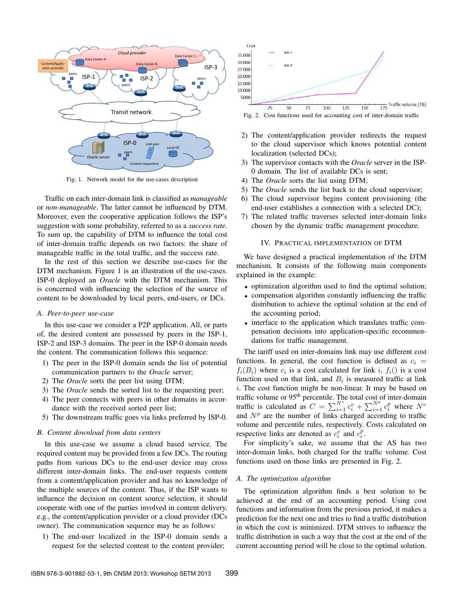

Fig. 1. Network model for the use-cases description

Traffic on each inter-domain link is classified as *manageable* or *non-manageable*. The latter cannot be influenced by DTM. Moreover, even the cooperative application follows the ISP's suggestion with some probability, referred to as a *success rate*. To sum up, the capability of DTM to influence the total cost of inter-domain traffic depends on two factors: the share of manageable traffic in the total traffic, and the success rate.

In the rest of this section we describe use-cases for the DTM mechanism. Figure 1 is an illustration of the use-cases. ISP-0 deployed an *Oracle* with the DTM mechanism. This is concerned with influencing the selection of the source of content to be downloaded by local peers, end-users, or DCs.

#### *A. Peer-to-peer use-case*

In this use-case we consider a P2P application. All, or parts of, the desired content are possessed by peers in the ISP-1, ISP-2 and ISP-3 domains. The peer in the ISP-0 domain needs the content. The communication follows this sequence:

- 1) The peer in the ISP-0 domain sends the list of potential communication partners to the *Oracle* server;
- 2) The *Oracle* sorts the peer list using DTM;
- 3) The *Oracle* sends the sorted list to the requesting peer;
- 4) The peer connects with peers in other domains in accordance with the received sorted peer list;
- 5) The downstream traffic goes via links preferred by ISP-0.

## *B. Content download from data centers*

In this use-case we assume a cloud based service. The required content may be provided from a few DCs. The routing paths from various DCs to the end-user device may cross different inter-domain links. The end-user requests content from a content/application provider and has no knowledge of the multiple sources of the content. Thus, if the ISP wants to influence the decision on content source selection, it should cooperate with one of the parties involved in content delivery, e.g., the content/application provider or a cloud provider (DCs owner). The communication sequence may be as follows:

1) The end-user localized in the ISP-0 domain sends a request for the selected content to the content provider;



Fig. 2. Cost functions used for accounting cost of inter-domain traffic

- 2) The content/application provider redirects the request to the cloud supervisor which knows potential content localization (selected DCs);
- 3) The supervisor contacts with the *Oracle* server in the ISP-0 domain. The list of available DCs is sent;
- 4) The *Oracle* sorts the list using DTM;
- 5) The *Oracle* sends the list back to the cloud supervisor;
- 6) The cloud supervisor begins content provisioning (the end-user establishes a connection with a selected DC);
- 7) The related traffic traverses selected inter-domain links chosen by the dynamic traffic management procedure.

#### IV. PRACTICAL IMPLEMENTATION OF DTM

We have designed a practical implementation of the DTM mechanism. It consists of the following main components explained in the example:

- optimization algorithm used to find the optimal solution;
- compensation algorithm constantly influencing the traffic distribution to achieve the optimal solution at the end of the accounting period;
- interface to the application which translates traffic compensation decisions into application-specific recommendations for traffic management.

The tariff used on inter-domains link may use different cost functions. In general, the cost function is defined as  $c_i$  =  $f_i(B_i)$  where  $c_i$  is a cost calculated for link i,  $f_i()$  is a cost function used on that link, and  $B_i$  is measured traffic at link i. The cost function might be non-linear. It may be based on traffic volume or 95<sup>th</sup> percentile. The total cost of inter-domain traffic is calculated as  $C = \sum_{i=1}^{N^v} c_i^v + \sum_{i=1}^{N^p} c_i^p$  where  $N^v$ and  $N<sup>p</sup>$  are the number of links charged according to traffic volume and percentile rules, respectively. Costs calculated on respective links are denoted as  $c_i^v$  and  $c_i^p$ .

For simplicity's sake, we assume that the AS has two inter-domain links, both charged for the traffic volume. Cost functions used on those links are presented in Fig. 2.

#### *A. The optimization algorithm*

The optimization algorithm finds a best solution to be achieved at the end of an accounting period. Using cost functions and information from the previous period, it makes a prediction for the next one and tries to find a traffic distribution in which the cost is minimized. DTM strives to influence the traffic distribution in such a way that the cost at the end of the current accounting period will be close to the optimal solution.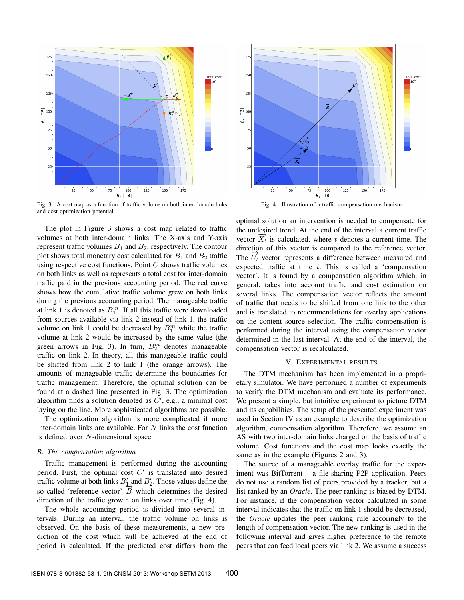

Fig. 3. A cost map as a function of traffic volume on both inter-domain links and cost optimization potential

The plot in Figure 3 shows a cost map related to traffic volumes at both inter-domain links. The X-axis and Y-axis represent traffic volumes  $B_1$  and  $B_2$ , respectively. The contour plot shows total monetary cost calculated for  $B_1$  and  $B_2$  traffic using respective cost functions. Point  $C$  shows traffic volumes on both links as well as represents a total cost for inter-domain traffic paid in the previous accounting period. The red curve shows how the cumulative traffic volume grew on both links during the previous accounting period. The manageable traffic at link 1 is denoted as  $B_1^m$ . If all this traffic were downloaded from sources available via link 2 instead of link 1, the traffic volume on link 1 could be decreased by  $B_1^m$  while the traffic volume at link 2 would be increased by the same value (the green arrows in Fig. 3). In turn,  $B_2^m$  denotes manageable traffic on link 2. In theory, all this manageable traffic could be shifted from link 2 to link 1 (the orange arrows). The amounts of manageable traffic determine the boundaries for traffic management. Therefore, the optimal solution can be found at a dashed line presented in Fig. 3. The optimization algorithm finds a solution denoted as  $C'$ , e.g., a minimal cost laying on the line. More sophisticated algorithms are possible.

The optimization algorithm is more complicated if more inter-domain links are available. For  $N$  links the cost function is defined over N-dimensional space.

#### *B. The compensation algorithm*

Traffic management is performed during the accounting period. First, the optimal cost  $C'$  is translated into desired traffic volume at both links  $B_1'$  and  $B_2'$ . Those values define the so called 'reference vector'  $\overrightarrow{B}$  which determines the desired direction of the traffic growth on links over time (Fig. 4).

The whole accounting period is divided into several intervals. During an interval, the traffic volume on links is observed. On the basis of these measurements, a new prediction of the cost which will be achieved at the end of period is calculated. If the predicted cost differs from the



Fig. 4. Illustration of a traffic compensation mechanism

optimal solution an intervention is needed to compensate for the undesired trend. At the end of the interval a current traffic vector  $\overline{X}_t$  is calculated, where t denotes a current time. The direction of this vector is compared to the reference vector. The  $\overrightarrow{U}_t$  vector represents a difference between measured and expected traffic at time  $t$ . This is called a 'compensation vector'. It is found by a compensation algorithm which, in general, takes into account traffic and cost estimation on several links. The compensation vector reflects the amount of traffic that needs to be shifted from one link to the other and is translated to recommendations for overlay applications on the content source selection. The traffic compensation is performed during the interval using the compensation vector determined in the last interval. At the end of the interval, the compensation vector is recalculated.

## V. EXPERIMENTAL RESULTS

The DTM mechanism has been implemented in a proprietary simulator. We have performed a number of experiments to verify the DTM mechanism and evaluate its performance. We present a simple, but intuitive experiment to picture DTM and its capabilities. The setup of the presented experiment was used in Section IV as an example to describe the optimization algorithm, compensation algorithm. Therefore, we assume an AS with two inter-domain links charged on the basis of traffic volume. Cost functions and the cost map looks exactly the same as in the example (Figures 2 and 3).

The source of a manageable overlay traffic for the experiment was BitTorrent – a file-sharing P2P application. Peers do not use a random list of peers provided by a tracker, but a list ranked by an *Oracle*. The peer ranking is biased by DTM. For instance, if the compensation vector calculated in some interval indicates that the traffic on link 1 should be decreased, the *Oracle* updates the peer ranking rule accoringly to the length of compensation vector. The new ranking is used in the following interval and gives higher preference to the remote peers that can feed local peers via link 2. We assume a success